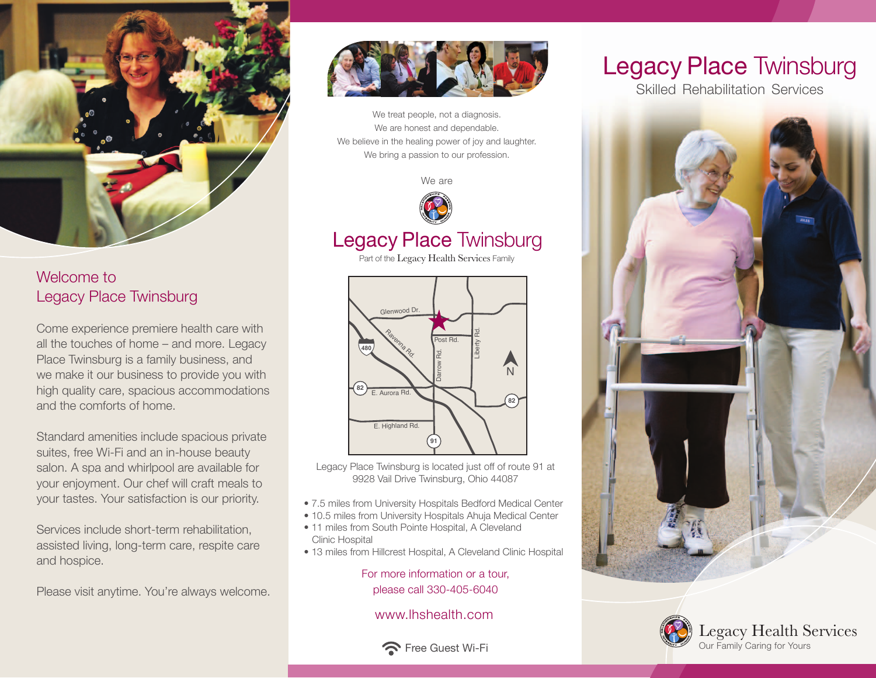

#### Welcome to Legacy Place Twinsburg

Come experience premiere health care with all the touches of home – and more. Legacy Place Twinsburg is a family business, and we make it our business to provide you with high quality care, spacious accommodations and the comforts of home.

Standard amenities include spacious private suites, free Wi-Fi and an in-house beauty salon. A spa and whirlpool are available for your enjoyment. Our chef will craft meals to your tastes. Your satisfaction is our priority.

Services include short-term rehabilitation, assisted living, long-term care, respite care and hospice.

Please visit anytime. You're always welcome.



We treat people, not a diagnosis. We are honest and dependable. We believe in the healing power of joy and laughter. We bring a passion to our profession.

We are



### Legacy Place Twinsburg

Part of the Legacy Health Services Family



Legacy Place Twinsburg is located just off of route 91 at 9928 Vail Drive Twinsburg, Ohio 44087

- 7.5 miles from University Hospitals Bedford Medical Center
- 10.5 miles from University Hospitals Ahuja Medical Center
- 11 miles from South Pointe Hospital, A Cleveland Clinic Hospital
- 13 miles from Hillcrest Hospital, A Cleveland Clinic Hospital

For more information or a tour, please call 330-405-6040

www.lhshealth.com



# Legacy Place Twinsburg

Skilled Rehabilitation Services